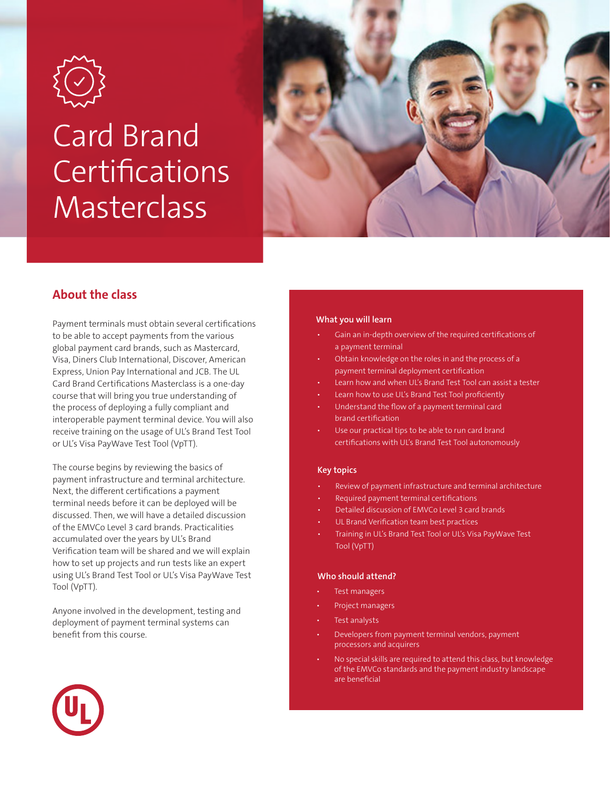

# Card Brand **Certifications Masterclass**



# **About the class**

Payment terminals must obtain several certifications to be able to accept payments from the various global payment card brands, such as Mastercard, Visa, Diners Club International, Discover, American Express, Union Pay International and JCB. The UL Card Brand Certifications Masterclass is a one-day course that will bring you true understanding of the process of deploying a fully compliant and interoperable payment terminal device. You will also receive training on the usage of UL's Brand Test Tool or UL's Visa PayWave Test Tool (VpTT).

The course begins by reviewing the basics of payment infrastructure and terminal architecture. Next, the different certifications a payment terminal needs before it can be deployed will be discussed. Then, we will have a detailed discussion of the EMVCo Level 3 card brands. Practicalities accumulated over the years by UL's Brand Verification team will be shared and we will explain how to set up projects and run tests like an expert using UL's Brand Test Tool or UL's Visa PayWave Test Tool (VpTT).

Anyone involved in the development, testing and deployment of payment terminal systems can benefit from this course.

## **What you will learn**

- Gain an in-depth overview of the required certifications of a payment terminal
- Obtain knowledge on the roles in and the process of a payment terminal deployment certification
- Learn how and when UL's Brand Test Tool can assist a tester
- Learn how to use UL's Brand Test Tool proficiently
- Understand the flow of a payment terminal card brand certification
- Use our practical tips to be able to run card brand certifications with UL's Brand Test Tool autonomously

## **Key topics**

- Review of payment infrastructure and terminal architecture
- Required payment terminal certifications
- Detailed discussion of EMVCo Level 3 card brands
- UL Brand Verification team best practices
- Training in UL's Brand Test Tool or UL's Visa PayWave Test Tool (VpTT)

## **Who should attend?**

- Test managers
- Project managers
- Test analysts
- Developers from payment terminal vendors, payment processors and acquirers
- No special skills are required to attend this class, but knowledge of the EMVCo standards and the payment industry landscape are beneficial